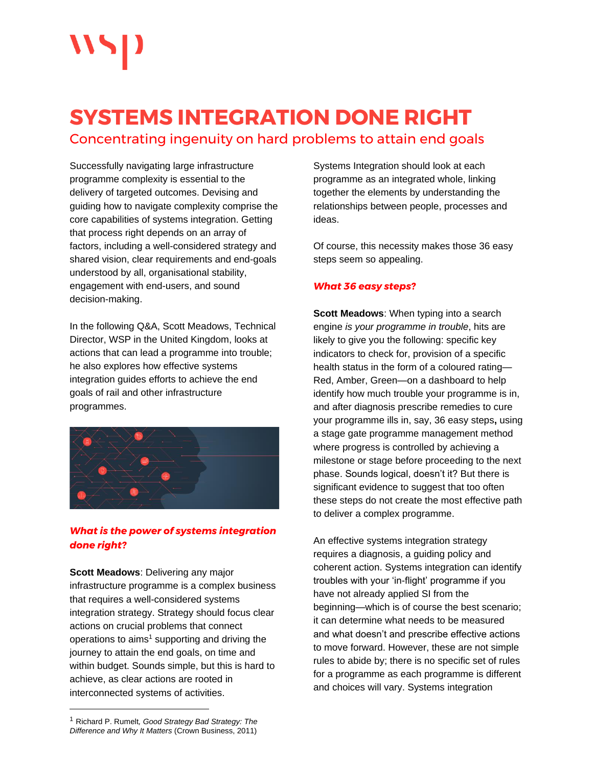# **SYSTEMS INTEGRATION DONE RIGHT**

Concentrating ingenuity on hard problems to attain end goals

Successfully navigating large infrastructure programme complexity is essential to the delivery of targeted outcomes. Devising and guiding how to navigate complexity comprise the core capabilities of systems integration. Getting that process right depends on an array of factors, including a well-considered strategy and shared vision, clear requirements and end-goals understood by all, organisational stability, engagement with end-users, and sound decision-making.

In the following Q&A, Scott Meadows, Technical Director, WSP in the United Kingdom, looks at actions that can lead a programme into trouble; he also explores how effective systems integration guides efforts to achieve the end goals of rail and other infrastructure programmes.



## *What is the power of systems integration done right?*

**Scott Meadows**: Delivering any major infrastructure programme is a complex business that requires a well-considered systems integration strategy. Strategy should focus clear actions on crucial problems that connect operations to aims<sup>1</sup> supporting and driving the journey to attain the end goals, on time and within budget. Sounds simple, but this is hard to achieve, as clear actions are rooted in interconnected systems of activities.

Systems Integration should look at each programme as an integrated whole, linking together the elements by understanding the relationships between people, processes and ideas.

Of course, this necessity makes those 36 easy steps seem so appealing.

#### *What 36 easy steps?*

**Scott Meadows**: When typing into a search engine *is your programme in trouble*, hits are likely to give you the following: specific key indicators to check for, provision of a specific health status in the form of a coloured rating— Red, Amber, Green—on a dashboard to help identify how much trouble your programme is in, and after diagnosis prescribe remedies to cure your programme ills in, say, 36 easy steps**,** using a stage gate programme management method where progress is controlled by achieving a milestone or stage before proceeding to the next phase. Sounds logical, doesn't it? But there is significant evidence to suggest that too often these steps do not create the most effective path to deliver a complex programme.

An effective systems integration strategy requires a diagnosis, a guiding policy and coherent action. Systems integration can identify troubles with your 'in-flight' programme if you have not already applied SI from the beginning—which is of course the best scenario; it can determine what needs to be measured and what doesn't and prescribe effective actions to move forward. However, these are not simple rules to abide by; there is no specific set of rules for a programme as each programme is different and choices will vary. Systems integration

<sup>1</sup> Richard P. Rumelt*, Good Strategy Bad Strategy: The Difference and Why It Matters* (Crown Business, 2011)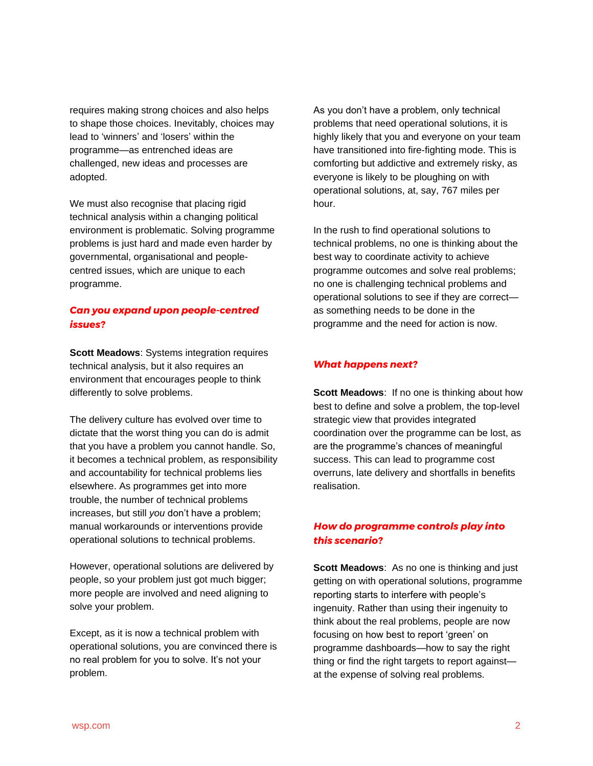requires making strong choices and also helps to shape those choices. Inevitably, choices may lead to 'winners' and 'losers' within the programme—as entrenched ideas are challenged, new ideas and processes are adopted.

We must also recognise that placing rigid technical analysis within a changing political environment is problematic. Solving programme problems is just hard and made even harder by governmental, organisational and peoplecentred issues, which are unique to each programme.

### *Can you expand upon people-centred issues?*

**Scott Meadows**: Systems integration requires technical analysis, but it also requires an environment that encourages people to think differently to solve problems.

The delivery culture has evolved over time to dictate that the worst thing you can do is admit that you have a problem you cannot handle. So, it becomes a technical problem, as responsibility and accountability for technical problems lies elsewhere. As programmes get into more trouble, the number of technical problems increases, but still *you* don't have a problem; manual workarounds or interventions provide operational solutions to technical problems.

However, operational solutions are delivered by people, so your problem just got much bigger; more people are involved and need aligning to solve your problem.

Except, as it is now a technical problem with operational solutions, you are convinced there is no real problem for you to solve. It's not your problem.

As you don't have a problem, only technical problems that need operational solutions, it is highly likely that you and everyone on your team have transitioned into fire-fighting mode. This is comforting but addictive and extremely risky, as everyone is likely to be ploughing on with operational solutions, at, say, 767 miles per hour.

In the rush to find operational solutions to technical problems, no one is thinking about the best way to coordinate activity to achieve programme outcomes and solve real problems; no one is challenging technical problems and operational solutions to see if they are correct as something needs to be done in the programme and the need for action is now.

#### *What happens next?*

**Scott Meadows**: If no one is thinking about how best to define and solve a problem, the top-level strategic view that provides integrated coordination over the programme can be lost, as are the programme's chances of meaningful success. This can lead to programme cost overruns, late delivery and shortfalls in benefits realisation.

### *How do programme controls play into this scenario?*

**Scott Meadows**: As no one is thinking and just getting on with operational solutions, programme reporting starts to interfere with people's ingenuity. Rather than using their ingenuity to think about the real problems, people are now focusing on how best to report 'green' on programme dashboards—how to say the right thing or find the right targets to report against at the expense of solving real problems.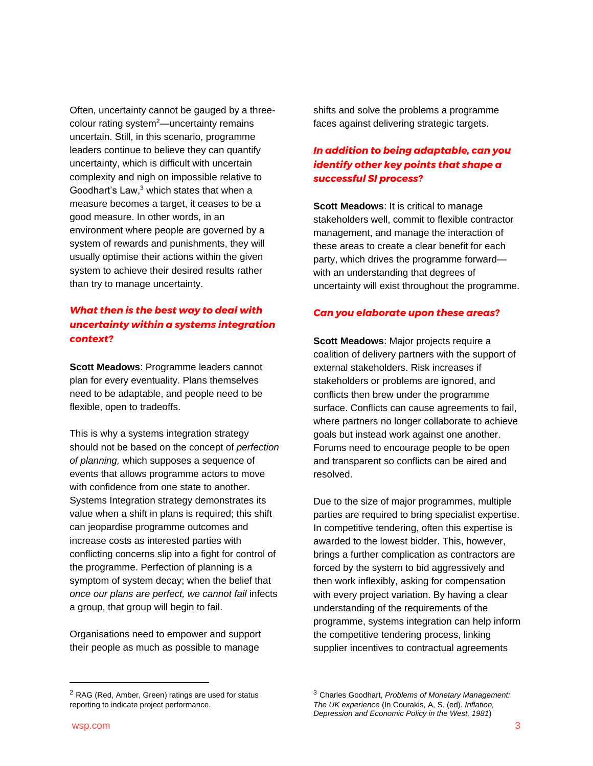Often, uncertainty cannot be gauged by a threecolour rating system<sup>2</sup>—uncertainty remains uncertain. Still, in this scenario, programme leaders continue to believe they can quantify uncertainty, which is difficult with uncertain complexity and nigh on impossible relative to Goodhart's Law, <sup>3</sup> which states that when a measure becomes a target, it ceases to be a good measure. In other words, in an environment where people are governed by a system of rewards and punishments, they will usually optimise their actions within the given system to achieve their desired results rather than try to manage uncertainty.

# *What then is the best way to deal with uncertainty within a systems integration context?*

**Scott Meadows**: Programme leaders cannot plan for every eventuality. Plans themselves need to be adaptable, and people need to be flexible, open to tradeoffs.

This is why a systems integration strategy should not be based on the concept of *perfection of planning,* which supposes a sequence of events that allows programme actors to move with confidence from one state to another. Systems Integration strategy demonstrates its value when a shift in plans is required; this shift can jeopardise programme outcomes and increase costs as interested parties with conflicting concerns slip into a fight for control of the programme. Perfection of planning is a symptom of system decay; when the belief that *once our plans are perfect, we cannot fail* infects a group, that group will begin to fail.

Organisations need to empower and support their people as much as possible to manage

shifts and solve the problems a programme faces against delivering strategic targets.

# *In addition to being adaptable, can you identify other key points that shape a successful SI process?*

**Scott Meadows**: It is critical to manage stakeholders well, commit to flexible contractor management, and manage the interaction of these areas to create a clear benefit for each party, which drives the programme forward with an understanding that degrees of uncertainty will exist throughout the programme.

#### *Can you elaborate upon these areas?*

**Scott Meadows**: Major projects require a coalition of delivery partners with the support of external stakeholders. Risk increases if stakeholders or problems are ignored, and conflicts then brew under the programme surface. Conflicts can cause agreements to fail, where partners no longer collaborate to achieve goals but instead work against one another. Forums need to encourage people to be open and transparent so conflicts can be aired and resolved.

Due to the size of major programmes, multiple parties are required to bring specialist expertise. In competitive tendering, often this expertise is awarded to the lowest bidder. This, however, brings a further complication as contractors are forced by the system to bid aggressively and then work inflexibly, asking for compensation with every project variation. By having a clear understanding of the requirements of the programme, systems integration can help inform the competitive tendering process, linking supplier incentives to contractual agreements

<sup>&</sup>lt;sup>2</sup> RAG (Red, Amber, Green) ratings are used for status reporting to indicate project performance.

<sup>3</sup> Charles Goodhart, *Problems of Monetary Management: The UK experience* (In Courakis, A, S. (ed). *Inflation, Depression and Economic Policy in the West, 1981*)